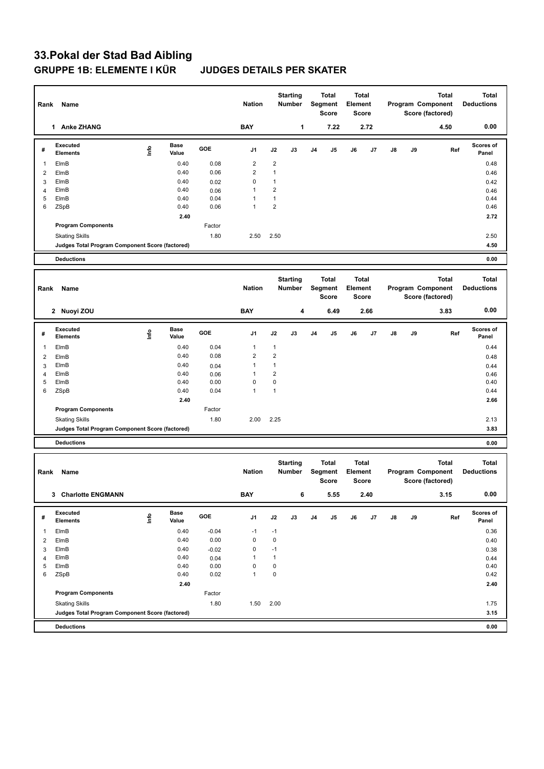# **33.Pokal der Stad Bad Aibling GRUPPE 1B: ELEMENTE I KÜR JUDGES DETAILS PER SKATER**

|                     | Rank Name                                       |                                  |                      |              | <b>Nation</b>           |                                | <b>Starting</b><br>Number |                | Total<br>Segment<br><b>Score</b>        | Element | Total<br><b>Score</b> |               |    | <b>Total</b><br>Program Component<br>Score (factored) | <b>Total</b><br><b>Deductions</b> |
|---------------------|-------------------------------------------------|----------------------------------|----------------------|--------------|-------------------------|--------------------------------|---------------------------|----------------|-----------------------------------------|---------|-----------------------|---------------|----|-------------------------------------------------------|-----------------------------------|
|                     | 1 Anke ZHANG                                    |                                  |                      |              | <b>BAY</b>              |                                | 1                         |                | 7.22                                    |         | 2.72                  |               |    | 4.50                                                  | 0.00                              |
| #                   | Executed<br><b>Elements</b>                     | lnfo                             | <b>Base</b><br>Value | GOE          | J1                      | J2                             | J3                        | J4             | J5                                      | J6      | J7                    | J8            | J9 | Ref                                                   | Scores of<br>Panel                |
| 1                   | ElmB                                            |                                  | 0.40                 | 0.08         | $\overline{\mathbf{c}}$ | $\overline{2}$                 |                           |                |                                         |         |                       |               |    |                                                       | 0.48                              |
| $\overline{2}$      | ElmB                                            |                                  | 0.40                 | 0.06         | $\overline{2}$          | $\mathbf{1}$                   |                           |                |                                         |         |                       |               |    |                                                       | 0.46                              |
| 3                   | ElmB                                            |                                  | 0.40                 | 0.02         | 0                       | $\mathbf{1}$                   |                           |                |                                         |         |                       |               |    |                                                       | 0.42                              |
| $\overline{4}$<br>5 | ElmB<br>ElmB                                    |                                  | 0.40<br>0.40         | 0.06<br>0.04 | 1<br>1                  | $\overline{2}$<br>$\mathbf{1}$ |                           |                |                                         |         |                       |               |    |                                                       | 0.46<br>0.44                      |
| 6                   | ZSpB                                            |                                  | 0.40                 | 0.06         | $\mathbf{1}$            | $\boldsymbol{2}$               |                           |                |                                         |         |                       |               |    |                                                       | 0.46                              |
|                     |                                                 |                                  | 2.40                 |              |                         |                                |                           |                |                                         |         |                       |               |    |                                                       | 2.72                              |
|                     | <b>Program Components</b>                       |                                  |                      | Factor       |                         |                                |                           |                |                                         |         |                       |               |    |                                                       |                                   |
|                     | <b>Skating Skills</b>                           |                                  |                      | 1.80         | 2.50                    | 2.50                           |                           |                |                                         |         |                       |               |    |                                                       | 2.50                              |
|                     | Judges Total Program Component Score (factored) |                                  |                      |              |                         |                                |                           |                |                                         |         |                       |               |    |                                                       | 4.50                              |
|                     | <b>Deductions</b>                               |                                  |                      |              |                         |                                |                           |                |                                         |         |                       |               |    |                                                       | 0.00                              |
|                     |                                                 |                                  |                      |              |                         |                                |                           |                | <b>Total</b>                            |         | Total                 |               |    | <b>Total</b>                                          | <b>Total</b>                      |
| Rank                | Name                                            |                                  |                      |              | <b>Nation</b>           |                                | <b>Starting</b><br>Number |                | Segment<br><b>Score</b>                 | Element | <b>Score</b>          |               |    | Program Component<br>Score (factored)                 | <b>Deductions</b>                 |
|                     | 2 Nuoyi ZOU                                     |                                  |                      |              | <b>BAY</b>              |                                | 4                         |                | 6.49                                    |         | 2.66                  |               |    | 3.83                                                  | 0.00                              |
| #                   | Executed<br><b>Elements</b>                     | lnfo                             | Base<br>Value        | GOE          | J1                      | J2                             | J3                        | J4             | J5                                      | J6      | J7                    | J8            | J9 | Ref                                                   | <b>Scores of</b><br>Panel         |
| 1                   | ElmB                                            |                                  | 0.40                 | 0.04         | 1                       | $\mathbf{1}$                   |                           |                |                                         |         |                       |               |    |                                                       | 0.44                              |
| 2                   | ElmB                                            |                                  | 0.40                 | 0.08         | $\overline{c}$          | $\overline{2}$                 |                           |                |                                         |         |                       |               |    |                                                       | 0.48                              |
| 3                   | ElmB                                            |                                  | 0.40                 | 0.04         | $\mathbf{1}$            | $\mathbf{1}$                   |                           |                |                                         |         |                       |               |    |                                                       | 0.44                              |
| $\overline{4}$<br>5 | ElmB<br>ElmB                                    |                                  | 0.40<br>0.40         | 0.06<br>0.00 | 1<br>0                  | $\overline{2}$<br>$\mathbf 0$  |                           |                |                                         |         |                       |               |    |                                                       | 0.46<br>0.40                      |
| 6                   | ZSpB                                            |                                  | 0.40                 | 0.04         | $\mathbf{1}$            | $\mathbf{1}$                   |                           |                |                                         |         |                       |               |    |                                                       | 0.44                              |
|                     |                                                 |                                  | 2.40                 |              |                         |                                |                           |                |                                         |         |                       |               |    |                                                       | 2.66                              |
|                     | <b>Program Components</b>                       |                                  |                      | Factor       |                         |                                |                           |                |                                         |         |                       |               |    |                                                       |                                   |
|                     | <b>Skating Skills</b>                           |                                  |                      | 1.80         | 2.00                    | 2.25                           |                           |                |                                         |         |                       |               |    |                                                       | 2.13                              |
|                     | Judges Total Program Component Score (factored) |                                  |                      |              |                         |                                |                           |                |                                         |         |                       |               |    |                                                       | 3.83                              |
|                     | <b>Deductions</b>                               |                                  |                      |              |                         |                                |                           |                |                                         |         |                       |               |    |                                                       | 0.00                              |
| Rank                | Name                                            |                                  |                      |              | <b>Nation</b>           |                                | <b>Starting</b><br>Number |                | <b>Total</b><br>Segment<br><b>Score</b> | Element | Total<br><b>Score</b> |               |    | <b>Total</b><br>Program Component<br>Score (factored) | <b>Total</b><br><b>Deductions</b> |
|                     | 3 Charlotte ENGMANN                             |                                  |                      |              | <b>BAY</b>              |                                | 6                         |                | 5.55                                    |         | 2,40                  |               |    | 3.15                                                  | 0.00                              |
| #                   | Executed<br>Elements                            | $\mathop{\mathsf{Irr}}\nolimits$ | Base<br>Value        | GOE          | J1                      | J2                             | J3                        | J <sub>4</sub> | J5                                      | J6      | J7                    | $\mathsf{J}8$ | J9 | Ref                                                   | Scores of<br>Panel                |
| $\overline{1}$      | ElmB                                            |                                  | 0.40                 | $-0.04$      | $-1$                    | $-1$                           |                           |                |                                         |         |                       |               |    |                                                       | 0.36                              |
| $\overline{2}$      | ElmB                                            |                                  | 0.40                 | 0.00         | 0                       | $\mathbf 0$                    |                           |                |                                         |         |                       |               |    |                                                       | 0.40                              |
| 3                   | ElmB                                            |                                  | 0.40                 | $-0.02$      | 0                       | $-1$                           |                           |                |                                         |         |                       |               |    |                                                       | 0.38                              |
| $\overline{4}$<br>5 | ElmB                                            |                                  | 0.40<br>0.40         | 0.04<br>0.00 | $\mathbf{1}$<br>0       | $\mathbf{1}$<br>$\pmb{0}$      |                           |                |                                         |         |                       |               |    |                                                       | 0.44                              |
| 6                   | ElmB<br>ZSpB                                    |                                  | 0.40                 | 0.02         | $\mathbf{1}$            | $\pmb{0}$                      |                           |                |                                         |         |                       |               |    |                                                       | 0.40<br>0.42                      |
|                     |                                                 |                                  | 2.40                 |              |                         |                                |                           |                |                                         |         |                       |               |    |                                                       | 2.40                              |
|                     | <b>Program Components</b>                       |                                  |                      | Factor       |                         |                                |                           |                |                                         |         |                       |               |    |                                                       |                                   |
|                     | <b>Skating Skills</b>                           |                                  |                      | 1.80         | 1.50                    | 2.00                           |                           |                |                                         |         |                       |               |    |                                                       | 1.75                              |
|                     | Judges Total Program Component Score (factored) |                                  |                      |              |                         |                                |                           |                |                                         |         |                       |               |    |                                                       | 3.15                              |
|                     | <b>Deductions</b>                               |                                  |                      |              |                         |                                |                           |                |                                         |         |                       |               |    |                                                       | 0.00                              |
|                     |                                                 |                                  |                      |              |                         |                                |                           |                |                                         |         |                       |               |    |                                                       |                                   |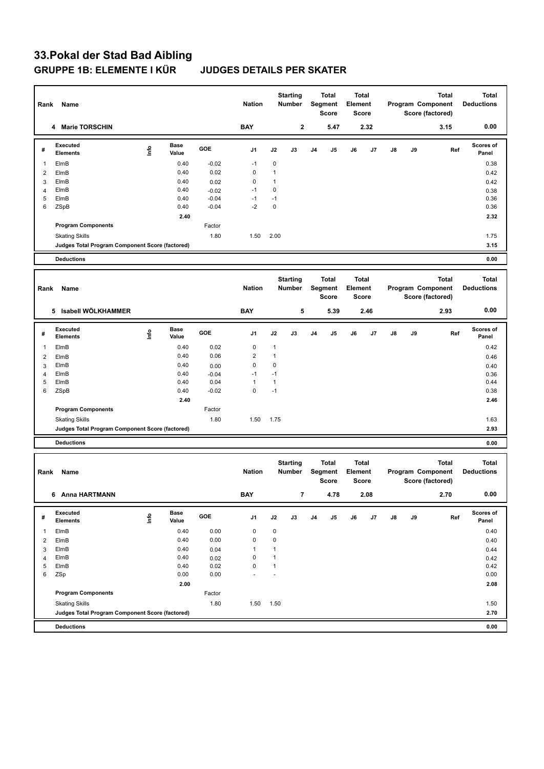# **33.Pokal der Stad Bad Aibling GRUPPE 1B: ELEMENTE I KÜR JUDGES DETAILS PER SKATER**

| Rank           | Name                                            |                                  |                      |                    | <b>Nation</b>    |                      | <b>Starting</b><br>Number |    | <b>Total</b><br>Segment<br>Score | Element | <b>Total</b><br><b>Score</b> |    |    | <b>Total</b><br>Program Component<br>Score (factored) | <b>Total</b><br><b>Deductions</b> |
|----------------|-------------------------------------------------|----------------------------------|----------------------|--------------------|------------------|----------------------|---------------------------|----|----------------------------------|---------|------------------------------|----|----|-------------------------------------------------------|-----------------------------------|
|                | <b>Marie TORSCHIN</b><br>4                      |                                  |                      |                    | <b>BAY</b>       |                      | $\mathbf 2$               |    | 5.47                             |         | 2.32                         |    |    | 3.15                                                  | 0.00                              |
| #              | <b>Executed</b><br><b>Elements</b>              | lnfo                             | Base<br>Value        | GOE                | J1               | J2                   | J3                        | J4 | J5                               | J6      | J7                           | J8 | J9 | Ref                                                   | Scores of<br>Panel                |
| 1              | ElmB                                            |                                  | 0.40                 | $-0.02$            | $-1$             | $\mathbf 0$          |                           |    |                                  |         |                              |    |    |                                                       | 0.38                              |
| 2              | ElmB                                            |                                  | 0.40                 | 0.02               | $\pmb{0}$        | $\mathbf{1}$         |                           |    |                                  |         |                              |    |    |                                                       | 0.42                              |
| 3              | ElmB                                            |                                  | 0.40                 | 0.02               | $\pmb{0}$        | $\mathbf{1}$         |                           |    |                                  |         |                              |    |    |                                                       | 0.42                              |
| 4<br>5         | ElmB                                            |                                  | 0.40                 | $-0.02$<br>$-0.04$ | $-1$             | $\pmb{0}$            |                           |    |                                  |         |                              |    |    |                                                       | 0.38                              |
| 6              | ElmB<br>ZSpB                                    |                                  | 0.40<br>0.40         | $-0.04$            | $-1$<br>$-2$     | $-1$<br>$\pmb{0}$    |                           |    |                                  |         |                              |    |    |                                                       | 0.36<br>0.36                      |
|                |                                                 |                                  | 2.40                 |                    |                  |                      |                           |    |                                  |         |                              |    |    |                                                       | 2.32                              |
|                | <b>Program Components</b>                       |                                  |                      | Factor             |                  |                      |                           |    |                                  |         |                              |    |    |                                                       |                                   |
|                | <b>Skating Skills</b>                           |                                  |                      | 1.80               | 1.50             | 2.00                 |                           |    |                                  |         |                              |    |    |                                                       | 1.75                              |
|                | Judges Total Program Component Score (factored) |                                  |                      |                    |                  |                      |                           |    |                                  |         |                              |    |    |                                                       | 3.15                              |
|                | <b>Deductions</b>                               |                                  |                      |                    |                  |                      |                           |    |                                  |         |                              |    |    |                                                       | 0.00                              |
|                |                                                 |                                  |                      |                    |                  |                      |                           |    |                                  |         |                              |    |    |                                                       |                                   |
| Rank           | Name                                            |                                  |                      |                    | <b>Nation</b>    |                      | <b>Starting</b><br>Number |    | Total<br>Segment<br><b>Score</b> | Element | Total<br><b>Score</b>        |    |    | Total<br>Program Component<br>Score (factored)        | <b>Total</b><br><b>Deductions</b> |
|                | 5 Isabell WÖLKHAMMER                            |                                  |                      |                    | <b>BAY</b>       |                      | 5                         |    | 5.39                             |         | 2.46                         |    |    | 2.93                                                  | 0.00                              |
| #              | <b>Executed</b><br><b>Elements</b>              | $\mathop{\mathsf{Int}}\nolimits$ | Base<br>Value        | GOE                | J1               | J2                   | J3                        | J4 | J5                               | J6      | J7                           | J8 | J9 | Ref                                                   | Scores of<br>Panel                |
| 1              | ElmB                                            |                                  | 0.40                 | 0.02               | 0                | $\mathbf{1}$         |                           |    |                                  |         |                              |    |    |                                                       | 0.42                              |
| 2              | ElmB                                            |                                  | 0.40                 | 0.06               | $\overline{2}$   | $\mathbf{1}$         |                           |    |                                  |         |                              |    |    |                                                       | 0.46                              |
| 3              | ElmB                                            |                                  | 0.40                 | 0.00               | 0                | $\mathbf 0$          |                           |    |                                  |         |                              |    |    |                                                       | 0.40                              |
| 4              | ElmB                                            |                                  | 0.40                 | $-0.04$            | $-1$             | $-1$                 |                           |    |                                  |         |                              |    |    |                                                       | 0.36                              |
| 5              | ElmB                                            |                                  | 0.40<br>0.40         | 0.04<br>$-0.02$    | 1<br>$\mathbf 0$ | $\mathbf{1}$<br>$-1$ |                           |    |                                  |         |                              |    |    |                                                       | 0.44                              |
| 6              | ZSpB                                            |                                  | 2.40                 |                    |                  |                      |                           |    |                                  |         |                              |    |    |                                                       | 0.38<br>2.46                      |
|                | <b>Program Components</b>                       |                                  |                      | Factor             |                  |                      |                           |    |                                  |         |                              |    |    |                                                       |                                   |
|                | <b>Skating Skills</b>                           |                                  |                      | 1.80               | 1.50             | 1.75                 |                           |    |                                  |         |                              |    |    |                                                       | 1.63                              |
|                | Judges Total Program Component Score (factored) |                                  |                      |                    |                  |                      |                           |    |                                  |         |                              |    |    |                                                       | 2.93                              |
|                | <b>Deductions</b>                               |                                  |                      |                    |                  |                      |                           |    |                                  |         |                              |    |    |                                                       | 0.00                              |
|                |                                                 |                                  |                      |                    |                  |                      |                           |    |                                  |         |                              |    |    |                                                       |                                   |
| Rank           | Name                                            |                                  |                      |                    | <b>Nation</b>    |                      | <b>Starting</b><br>Number |    | Total<br>Segment<br><b>Score</b> | Element | <b>Total</b><br><b>Score</b> |    |    | <b>Total</b><br>Program Component<br>Score (factored) | <b>Total</b><br><b>Deductions</b> |
|                | 6 Anna HARTMANN                                 |                                  |                      |                    | BAY              |                      | $\overline{7}$            |    | 4.78                             |         | 2.08                         |    |    | 2.70                                                  | 0.00                              |
| #              | <b>Executed</b><br><b>Elements</b>              | lnfo                             | <b>Base</b><br>Value | GOE                | J1               | J2                   | J3                        | J4 | J5                               | J6      | J7                           | J8 | J9 | Ref                                                   | Scores of<br>Panel                |
| 1              | ElmB                                            |                                  | 0.40                 | 0.00               | 0                | $\pmb{0}$            |                           |    |                                  |         |                              |    |    |                                                       | 0.40                              |
| $\overline{2}$ | ElmB                                            |                                  | 0.40                 | 0.00               | $\pmb{0}$        | $\pmb{0}$            |                           |    |                                  |         |                              |    |    |                                                       | 0.40                              |
| 3              | ElmB                                            |                                  | 0.40                 | 0.04               | 1                | 1                    |                           |    |                                  |         |                              |    |    |                                                       | 0.44                              |
| 4              | ElmB                                            |                                  | 0.40                 | 0.02               | 0                | $\mathbf{1}$         |                           |    |                                  |         |                              |    |    |                                                       | 0.42                              |
| 5<br>6         | ElmB<br>ZSp                                     |                                  | 0.40<br>0.00         | 0.02<br>0.00       | 0                | $\mathbf{1}$         |                           |    |                                  |         |                              |    |    |                                                       | 0.42<br>0.00                      |
|                |                                                 |                                  | 2.00                 |                    |                  |                      |                           |    |                                  |         |                              |    |    |                                                       | 2.08                              |
|                | <b>Program Components</b>                       |                                  |                      | Factor             |                  |                      |                           |    |                                  |         |                              |    |    |                                                       |                                   |
|                | <b>Skating Skills</b>                           |                                  |                      | 1.80               | 1.50             | 1.50                 |                           |    |                                  |         |                              |    |    |                                                       | 1.50                              |
|                | Judges Total Program Component Score (factored) |                                  |                      |                    |                  |                      |                           |    |                                  |         |                              |    |    |                                                       | 2.70                              |
|                | <b>Deductions</b>                               |                                  |                      |                    |                  |                      |                           |    |                                  |         |                              |    |    |                                                       | 0.00                              |